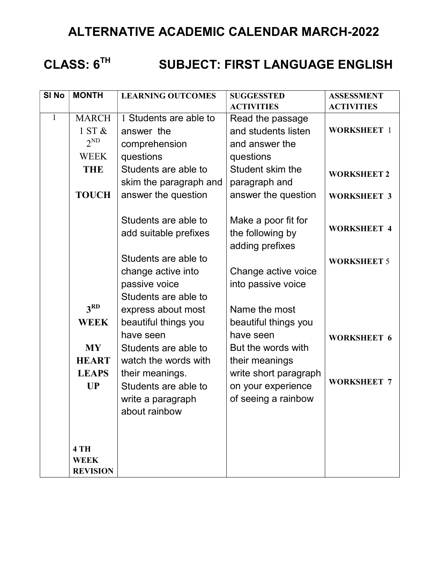## ALTERNATIVE ACADEMIC CALENDAR MARCH-2022

# CLASS: 6<sup>TH</sup> SUBJECT: FIRST LANGUAGE ENGLISH

| SI <sub>No</sub> | <b>MONTH</b>    | <b>LEARNING OUTCOMES</b> | <b>SUGGESSTED</b>     | <b>ASSESSMENT</b>  |
|------------------|-----------------|--------------------------|-----------------------|--------------------|
|                  |                 |                          | <b>ACTIVITIES</b>     | <b>ACTIVITIES</b>  |
| $\mathbf{1}$     | <b>MARCH</b>    | 1 Students are able to   | Read the passage      |                    |
|                  | 1ST &           | answer the               | and students listen   | <b>WORKSHEET 1</b> |
|                  | $2^{ND}$        | comprehension            | and answer the        |                    |
|                  | <b>WEEK</b>     | questions                | questions             |                    |
|                  | <b>THE</b>      | Students are able to     | Student skim the      | <b>WORKSHEET 2</b> |
|                  |                 | skim the paragraph and   | paragraph and         |                    |
|                  | <b>TOUCH</b>    | answer the question      | answer the question   | <b>WORKSHEET 3</b> |
|                  |                 |                          |                       |                    |
|                  |                 | Students are able to     | Make a poor fit for   |                    |
|                  |                 | add suitable prefixes    | the following by      | <b>WORKSHEET 4</b> |
|                  |                 |                          | adding prefixes       |                    |
|                  |                 |                          |                       |                    |
|                  |                 | Students are able to     |                       | <b>WORKSHEET 5</b> |
|                  |                 | change active into       | Change active voice   |                    |
|                  |                 | passive voice            | into passive voice    |                    |
|                  |                 | Students are able to     |                       |                    |
|                  | 3 <sup>RD</sup> | express about most       | Name the most         |                    |
|                  | <b>WEEK</b>     | beautiful things you     | beautiful things you  |                    |
|                  |                 | have seen                | have seen             | <b>WORKSHEET 6</b> |
|                  | <b>MY</b>       | Students are able to     | But the words with    |                    |
|                  | <b>HEART</b>    | watch the words with     | their meanings        |                    |
|                  | <b>LEAPS</b>    | their meanings.          | write short paragraph |                    |
|                  | <b>UP</b>       | Students are able to     | on your experience    | <b>WORKSHEET 7</b> |
|                  |                 | write a paragraph        | of seeing a rainbow   |                    |
|                  |                 | about rainbow            |                       |                    |
|                  |                 |                          |                       |                    |
|                  |                 |                          |                       |                    |
|                  | 4 TH            |                          |                       |                    |
|                  | <b>WEEK</b>     |                          |                       |                    |
|                  | <b>REVISION</b> |                          |                       |                    |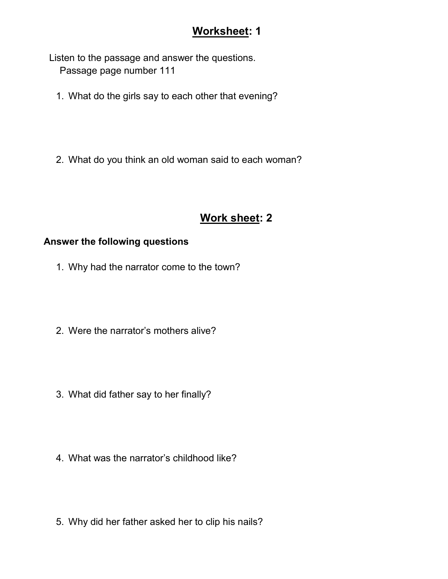### Worksheet: 1

 Listen to the passage and answer the questions. Passage page number 111

- 1. What do the girls say to each other that evening?
- 2. What do you think an old woman said to each woman?

## Work sheet: 2

#### Answer the following questions

- 1. Why had the narrator come to the town?
- 2. Were the narrator's mothers alive?
- 3. What did father say to her finally?
- 4. What was the narrator's childhood like?
- 5. Why did her father asked her to clip his nails?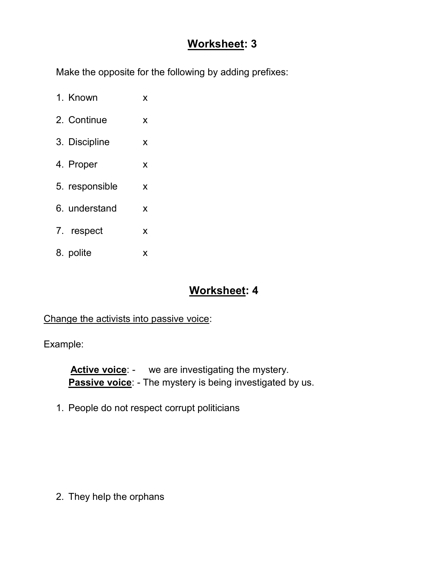#### Worksheet: 3

Make the opposite for the following by adding prefixes:

- 1. Known x
- 2. Continue x
- 3. Discipline x
- 4. Proper x
- 5. responsible x
- 6. understand x
- 7. respect x
- 8. polite x

#### Worksheet: 4

Change the activists into passive voice:

Example:

Active voice: - we are investigating the mystery. Passive voice: - The mystery is being investigated by us.

1. People do not respect corrupt politicians

2. They help the orphans